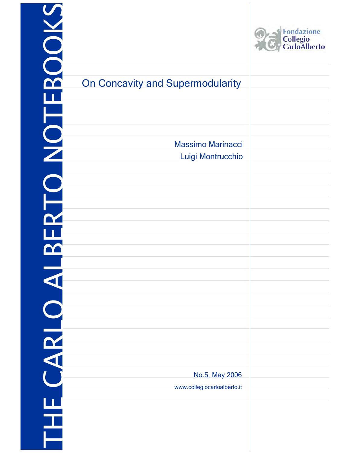|   |  | $\blacktriangleleft$ |  |   |                            |  |
|---|--|----------------------|--|---|----------------------------|--|
|   |  |                      |  |   |                            |  |
|   |  |                      |  |   |                            |  |
|   |  |                      |  |   | <b>On Concavity and Su</b> |  |
| W |  |                      |  | N |                            |  |



# permodularity Massimo Marinacci Luigi Montrucchio No.5, May 2006 www.collegiocarloalberto.it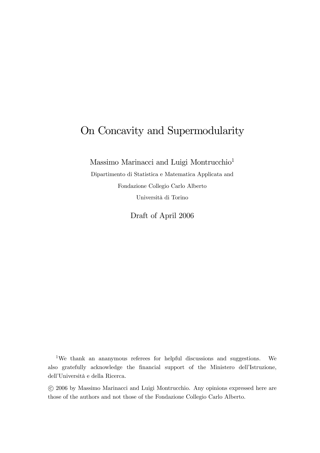# On Concavity and Supermodularity

Massimo Marinacci and Luigi Montrucchio1

Dipartimento di Statistica e Matematica Applicata and Fondazione Collegio Carlo Alberto Università di Torino

Draft of April 2006

<sup>1</sup>We thank an ananymous referees for helpful discussions and suggestions. We also gratefully acknowledge the financial support of the Ministero dell'Istruzione, dell'Università e della Ricerca.

°c 2006 by Massimo Marinacci and Luigi Montrucchio. Any opinions expressed here are those of the authors and not those of the Fondazione Collegio Carlo Alberto.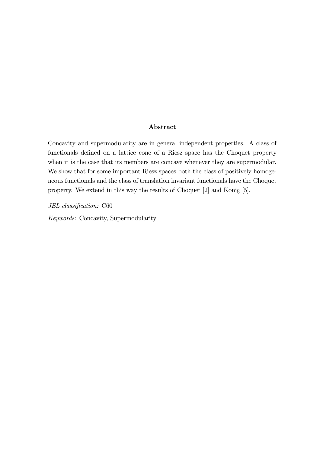#### Abstract

Concavity and supermodularity are in general independent properties. A class of functionals defined on a lattice cone of a Riesz space has the Choquet property when it is the case that its members are concave whenever they are supermodular. We show that for some important Riesz spaces both the class of positively homogeneous functionals and the class of translation invariant functionals have the Choquet property. We extend in this way the results of Choquet [2] and Konig [5].

JEL classification: C60

Keywords: Concavity, Supermodularity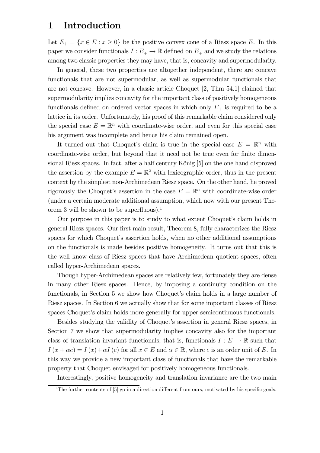#### 1 Introduction

Let  $E_+ = \{x \in E : x \geq 0\}$  be the positive convex cone of a Riesz space E. In this paper we consider functionals  $I : E_+ \to \mathbb{R}$  defined on  $E_+$  and we study the relations among two classic properties they may have, that is, concavity and supermodularity.

In general, these two properties are altogether independent, there are concave functionals that are not supermodular, as well as supermodular functionals that are not concave. However, in a classic article Choquet [2, Thm 54.1] claimed that supermodularity implies concavity for the important class of positively homogeneous functionals defined on ordered vector spaces in which only  $E_{+}$  is required to be a lattice in its order. Unfortunately, his proof of this remarkable claim considered only the special case  $E = \mathbb{R}^n$  with coordinate-wise order, and even for this special case his argument was incomplete and hence his claim remained open.

It turned out that Choquet's claim is true in the special case  $E = \mathbb{R}^n$  with coordinate-wise order, but beyond that it need not be true even for finite dimensional Riesz spaces. In fact, after a half century König [5] on the one hand disproved the assertion by the example  $E = \mathbb{R}^2$  with lexicographic order, thus in the present context by the simplest non-Archimedean Riesz space. On the other hand, he proved rigorously the Choquet's assertion in the case  $E = \mathbb{R}^n$  with coordinate-wise order (under a certain moderate additional assumption, which now with our present Theorem 3 will be shown to be superfluous).<sup>1</sup>

Our purpose in this paper is to study to what extent Choquet's claim holds in general Riesz spaces. Our first main result, Theorem 8, fully characterizes the Riesz spaces for which Choquet's assertion holds, when no other additional assumptions on the functionals is made besides positive homogeneity. It turns out that this is the well know class of Riesz spaces that have Archimedean quotient spaces, often called hyper-Archimedean spaces.

Though hyper-Archimedean spaces are relatively few, fortunately they are dense in many other Riesz spaces. Hence, by imposing a continuity condition on the functionals, in Section 5 we show how Choquet's claim holds in a large number of Riesz spaces. In Section 6 we actually show that for some important classes of Riesz spaces Choquet's claim holds more generally for upper semicontinuous functionals.

Besides studying the validity of Choquet's assertion in general Riesz spaces, in Section 7 we show that supermodularity implies concavity also for the important class of translation invariant functionals, that is, functionals  $I : E \to \mathbb{R}$  such that  $I(x + \alpha e) = I(x) + \alpha I(e)$  for all  $x \in E$  and  $\alpha \in \mathbb{R}$ , where e is an order unit of E. In this way we provide a new important class of functionals that have the remarkable property that Choquet envisaged for positively homogeneous functionals.

Interestingly, positive homogeneity and translation invariance are the two main

<sup>&</sup>lt;sup>1</sup>The further contents of  $[5]$  go in a direction different from ours, motivated by his specific goals.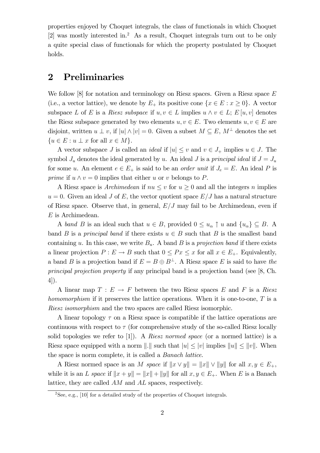properties enjoyed by Choquet integrals, the class of functionals in which Choquet [2] was mostly interested in.2 As a result, Choquet integrals turn out to be only a quite special class of functionals for which the property postulated by Choquet holds.

#### 2 Preliminaries

We follow  $[8]$  for notation and terminology on Riesz spaces. Given a Riesz space E (i.e., a vector lattice), we denote by  $E_+$  its positive cone  $\{x \in E : x \geq 0\}$ . A vector subspace L of E is a Riesz subspace if  $u, v \in L$  implies  $u \wedge v \in L$ ;  $E[u, v]$  denotes the Riesz subspace generated by two elements  $u, v \in E$ . Two elements  $u, v \in E$  are disjoint, written  $u \perp v$ , if  $|u| \wedge |v| = 0$ . Given a subset  $M \subseteq E$ ,  $M^{\perp}$  denotes the set  ${u \in E : u \perp x \text{ for all } x \in M}.$ 

A vector subspace J is called an *ideal* if  $|u| \leq v$  and  $v \in J_+$  implies  $u \in J$ . The symbol  $J_u$  denotes the ideal generated by u. An ideal J is a principal ideal if  $J = J_u$ for some u. An element  $e \in E_+$  is said to be an *order unit* if  $J_e = E$ . An ideal P is prime if  $u \wedge v = 0$  implies that either u or v belongs to P.

A Riesz space is Archimedean if  $nu < v$  for  $u > 0$  and all the integers n implies  $u = 0$ . Given an ideal J of E, the vector quotient space  $E/J$  has a natural structure of Riesz space. Observe that, in general,  $E/J$  may fail to be Archimedean, even if E is Archimedean.

A band B is an ideal such that  $u \in B$ , provided  $0 \leq u_{\alpha} \uparrow u$  and  $\{u_{\alpha}\}\subseteq B$ . A band B is a principal band if there exists  $u \in B$  such that B is the smallest band containing u. In this case, we write  $B_u$ . A band B is a projection band if there exists a linear projection  $P: E \to B$  such that  $0 \leq Px \leq x$  for all  $x \in E_+$ . Equivalently, a band B is a projection band if  $E = B \oplus B^{\perp}$ . A Riesz space E is said to have the principal projection property if any principal band is a projection band (see [8, Ch. 4]).

A linear map  $T : E \to F$  between the two Riesz spaces E and F is a Riesz homomorphism if it preserves the lattice operations. When it is one-to-one, T is a Riesz isomorphism and the two spaces are called Riesz isomorphic.

A linear topology  $\tau$  on a Riesz space is compatible if the lattice operations are continuous with respect to  $\tau$  (for comprehensive study of the so-called Riesz locally solid topologies we refer to  $[1]$ ). A *Riesz normed space* (or a normed lattice) is a Riesz space equipped with a norm  $||.||$  such that  $|u| \le |v|$  implies  $||u|| \le ||v||$ . When the space is norm complete, it is called a Banach lattice.

A Riesz normed space is an M space if  $||x \vee y|| = ||x|| \vee ||y||$  for all  $x, y \in E_+$ , while it is an L space if  $||x + y|| = ||x|| + ||y||$  for all  $x, y \in E_+$ . When E is a Banach lattice, they are called AM and AL spaces, respectively.

<sup>2</sup>See, e.g., [10] for a detailed study of the properties of Choquet integrals.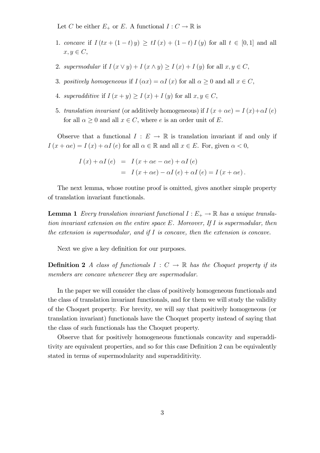Let C be either  $E_+$  or E. A functional  $I: C \to \mathbb{R}$  is

- 1. concave if  $I(tx+(1-t)y) \ge tI(x) + (1-t)I(y)$  for all  $t \in [0,1]$  and all  $x, y \in C$ ,
- 2. supermodular if  $I(x \vee y) + I(x \wedge y) \geq I(x) + I(y)$  for all  $x, y \in C$ ,
- 3. positively homogeneous if  $I(\alpha x) = \alpha I(x)$  for all  $\alpha \geq 0$  and all  $x \in C$ ,
- 4. superadditive if  $I(x + y) \ge I(x) + I(y)$  for all  $x, y \in C$ ,
- 5. translation invariant (or additively homogeneous) if  $I(x + \alpha e) = I(x) + \alpha I(e)$ for all  $\alpha \geq 0$  and all  $x \in C$ , where e is an order unit of E.

Observe that a functional  $I : E \to \mathbb{R}$  is translation invariant if and only if  $I(x + \alpha e) = I(x) + \alpha I(e)$  for all  $\alpha \in \mathbb{R}$  and all  $x \in E$ . For, given  $\alpha < 0$ ,

$$
I(x) + \alpha I(e) = I(x + \alpha e - \alpha e) + \alpha I(e)
$$
  
= 
$$
I(x + \alpha e) - \alpha I(e) + \alpha I(e) = I(x + \alpha e).
$$

The next lemma, whose routine proof is omitted, gives another simple property of translation invariant functionals.

**Lemma 1** Every translation invariant functional  $I : E_+ \to \mathbb{R}$  has a unique translation invariant extension on the entire space E. Moreover, If I is supermodular, then the extension is supermodular, and if  $I$  is concave, then the extension is concave.

Next we give a key definition for our purposes.

**Definition 2** A class of functionals  $I : C \to \mathbb{R}$  has the Choquet property if its members are concave whenever they are supermodular.

In the paper we will consider the class of positively homogeneous functionals and the class of translation invariant functionals, and for them we will study the validity of the Choquet property. For brevity, we will say that positively homogeneous (or translation invariant) functionals have the Choquet property instead of saying that the class of such functionals has the Choquet property.

Observe that for positively homogeneous functionals concavity and superadditivity are equivalent properties, and so for this case Definition 2 can be equivalently stated in terms of supermodularity and superadditivity.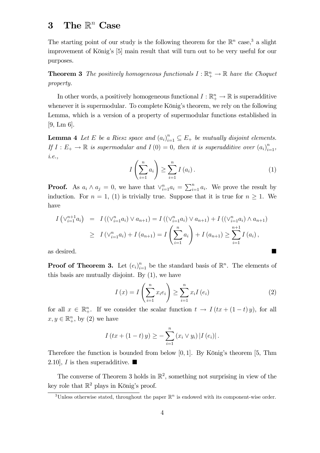# 3 The  $\mathbb{R}^n$  Case

The starting point of our study is the following theorem for the  $\mathbb{R}^n$  case,<sup>3</sup> a slight improvement of König's [5] main result that will turn out to be very useful for our purposes.

**Theorem 3** The positively homogeneous functionals  $I : \mathbb{R}^n_+ \to \mathbb{R}$  have the Choquet property.

In other words, a positively homogeneous functional  $I : \mathbb{R}^n_+ \to \mathbb{R}$  is superadditive whenever it is supermodular. To complete König's theorem, we rely on the following Lemma, which is a version of a property of supermodular functions established in [9, Lm 6].

**Lemma 4** Let E be a Riesz space and  $(a_i)_{i=1}^n \subseteq E_+$  be mutually disjoint elements. If  $I: E_+ \to \mathbb{R}$  is supermodular and  $I(0) = 0$ , then it is superadditive over  $(a_i)_{i=1}^n$ , i.e.,

$$
I\left(\sum_{i=1}^{n} a_i\right) \ge \sum_{i=1}^{n} I\left(a_i\right). \tag{1}
$$

**Proof.** As  $a_i \wedge a_j = 0$ , we have that  $\vee_{i=1}^{n} a_i = \sum_{i=1}^{n} a_i$ . We prove the result by induction. For  $n = 1$ , (1) is trivially true. Suppose that it is true for  $n \geq 1$ . We have

$$
I\left(\vee_{i=1}^{n+1} a_i\right) = I\left(\left(\vee_{i=1}^{n} a_i\right) \vee a_{n+1}\right) = I\left(\left(\vee_{i=1}^{n} a_i\right) \vee a_{n+1}\right) + I\left(\left(\vee_{i=1}^{n} a_i\right) \wedge a_{n+1}\right)
$$
  
\n
$$
\geq I\left(\vee_{i=1}^{n} a_i\right) + I\left(a_{n+1}\right) = I\left(\sum_{i=1}^{n} a_i\right) + I\left(a_{n+1}\right) \geq \sum_{i=1}^{n+1} I\left(a_i\right),
$$

as desired.

**Proof of Theorem 3.** Let  $(e_i)_{i=1}^n$  be the standard basis of  $\mathbb{R}^n$ . The elements of this basis are mutually disjoint. By (1), we have

$$
I\left(x\right) = I\left(\sum_{i=1}^{n} x_i e_i\right) \ge \sum_{i=1}^{n} x_i I\left(e_i\right) \tag{2}
$$

for all  $x \in \mathbb{R}^n_+$ . If we consider the scalar function  $t \to I (tx + (1-t)y)$ , for all  $x, y \in \mathbb{R}_+^n$ , by (2) we have

$$
I(tx + (1-t) y) \ge - \sum_{i=1}^{n} (x_i \vee y_i) |I(e_i)|.
$$

Therefore the function is bounded from below [0, 1]. By König's theorem [5, Thm 2.10], I is then superadditive.  $\blacksquare$ 

The converse of Theorem 3 holds in  $\mathbb{R}^2$ , something not surprising in view of the key role that  $\mathbb{R}^2$  plays in König's proof.

<sup>&</sup>lt;sup>3</sup>Unless otherwise stated, throughout the paper  $\mathbb{R}^n$  is endowed with its component-wise order.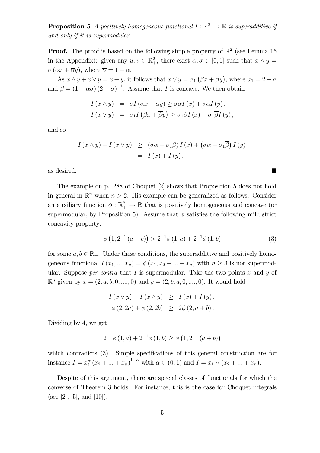**Proposition 5** A positively homogeneous functional  $I : \mathbb{R}^2_+ \to \mathbb{R}$  is superadditive if and only if it is supermodular.

**Proof.** The proof is based on the following simple property of  $\mathbb{R}^2$  (see Lemma 16) in the Appendix): given any  $u, v \in \mathbb{R}^2_+$ , there exist  $\alpha, \sigma \in [0, 1]$  such that  $x \wedge y =$  $\sigma(\alpha x + \overline{\alpha}y)$ , where  $\overline{\alpha} = 1 - \alpha$ .

As  $x \wedge y + x \vee y = x + y$ , it follows that  $x \vee y = \sigma_1 (\beta x + \overline{\beta} y)$ , where  $\sigma_1 = 2 - \sigma_2$ and  $\beta = (1 - \alpha \sigma) (2 - \sigma)^{-1}$ . Assume that I is concave. We then obtain

$$
I(x \wedge y) = \sigma I(\alpha x + \overline{\alpha}y) \ge \sigma \alpha I(x) + \sigma \overline{\alpha}I(y),
$$
  

$$
I(x \vee y) = \sigma_1 I(\beta x + \overline{\beta}y) \ge \sigma_1 \beta I(x) + \sigma_1 \overline{\beta}I(y),
$$

and so

$$
I(x \wedge y) + I(x \vee y) \ge (\sigma \alpha + \sigma_1 \beta) I(x) + (\sigma \overline{\alpha} + \sigma_1 \overline{\beta}) I(y)
$$
  
=  $I(x) + I(y),$ 

as desired.

The example on p. 288 of Choquet [2] shows that Proposition 5 does not hold in general in  $\mathbb{R}^n$  when  $n > 2$ . His example can be generalized as follows. Consider an auxiliary function  $\phi : \mathbb{R}^2_+ \to \mathbb{R}$  that is positively homogeneous and concave (or supermodular, by Proposition 5). Assume that  $\phi$  satisfies the following mild strict concavity property:

$$
\phi\left(1,2^{-1}\left(a+b\right)\right) > 2^{-1}\phi\left(1,a\right) + 2^{-1}\phi\left(1,b\right) \tag{3}
$$

for some  $a, b \in \mathbb{R}_+$ . Under these conditions, the superadditive and positively homogeneous functional  $I(x_1, ..., x_n) = \phi(x_1, x_2 + ... + x_n)$  with  $n \geq 3$  is not supermodular. Suppose *per contra* that  $I$  is supermodular. Take the two points  $x$  and  $y$  of  $\mathbb{R}^n$  given by  $x = (2, a, b, 0, \ldots, 0)$  and  $y = (2, b, a, 0, \ldots, 0)$ . It would hold

$$
I(x \vee y) + I(x \wedge y) \geq I(x) + I(y),
$$
  

$$
\phi(2, 2a) + \phi(2, 2b) \geq 2\phi(2, a + b).
$$

Dividing by 4, we get

$$
2^{-1}\phi(1,a) + 2^{-1}\phi(1,b) \ge \phi(1,2^{-1}(a+b))
$$

which contradicts  $(3)$ . Simple specifications of this general construction are for instance  $I = x_1^{\alpha} (x_2 + ... + x_n)^{1-\alpha}$  with  $\alpha \in (0,1)$  and  $I = x_1 \wedge (x_2 + ... + x_n)$ .

Despite of this argument, there are special classes of functionals for which the converse of Theorem 3 holds. For instance, this is the case for Choquet integrals (see [2], [5], and [10]).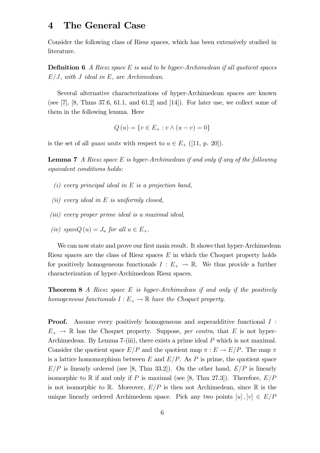#### 4 The General Case

Consider the following class of Riesz spaces, which has been extensively studied in literature.

**Definition 6** A Riesz space E is said to be hyper-Archimedean if all quotient spaces  $E/J$ , with J ideal in E, are Archimedean.

Several alternative characterizations of hyper-Archimedean spaces are known (see [7], [8, Thms 37.6, 61.1, and 61.2] and [14]). For later use, we collect some of them in the following lemma. Here

$$
Q(u) = \{v \in E_+ : v \wedge (u - v) = 0\}
$$

is the set of all *quasi units* with respect to  $u \in E_+$  ([11, p. 20]).

**Lemma 7** A Riesz space E is hyper-Archimedean if and only if any of the following equivalent conditions holds:

- $(i)$  every principal ideal in E is a projection band,
- (ii) every ideal in  $E$  is uniformly closed,
- (iii) every proper prime ideal is a maximal ideal,
- (iv) span $Q(u) = J_u$  for all  $u \in E_+$ .

We can now state and prove our first main result. It shows that hyper-Archimedean Riesz spaces are the class of Riesz spaces  $E$  in which the Choquet property holds for positively homogeneous functionals  $I : E_+ \to \mathbb{R}$ . We thus provide a further characterization of hyper-Archimedean Riesz spaces.

**Theorem 8** A Riesz space E is hyper-Archimedean if and only if the positively homogeneous functionals  $I : E_+ \to \mathbb{R}$  have the Choquet property.

**Proof.** Assume every positively homogeneous and superadditive functional I :  $E_{+} \rightarrow \mathbb{R}$  has the Choquet property. Suppose, per contra, that E is not hyper-Archimedean. By Lemma 7-(iii), there exists a prime ideal P which is not maximal. Consider the quotient space  $E/P$  and the quotient map  $\pi : E \to E/P$ . The map  $\pi$ is a lattice homomorphism between  $E$  and  $E/P$ . As P is prime, the quotient space  $E/P$  is linearly ordered (see [8, Thm 33.2]). On the other hand,  $E/P$  is linearly isomorphic to R if and only if P is maximal (see [8, Thm 27.3]). Therefore,  $E/P$ is not isomorphic to R. Moreover,  $E/P$  is then not Archimedean, since R is the unique linearly ordered Archimedean space. Pick any two points  $[u], [v] \in E/P$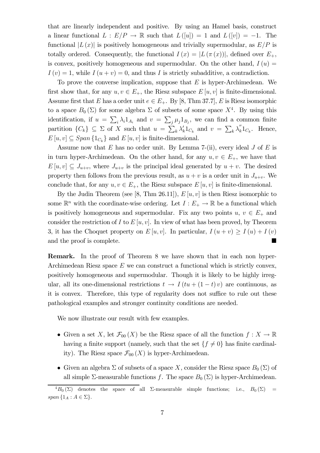that are linearly independent and positive. By using an Hamel basis, construct a linear functional  $L : E/P \to \mathbb{R}$  such that  $L([u]) = 1$  and  $L([v]) = -1$ . The functional  $|L(x)|$  is positively homogeneous and trivially supermodular, as  $E/P$  is totally ordered. Consequently, the functional  $I(x) = |L(\pi(x))|$ , defined over  $E_+$ , is convex, positively homogeneous and supermodular. On the other hand,  $I(u) =$  $I (v) = 1$ , while  $I (u + v) = 0$ , and thus I is strictly subadditive, a contradiction.

To prove the converse implication, suppose that  $E$  is hyper-Archimedean. We first show that, for any  $u, v \in E_+$ , the Riesz subspace  $E[u, v]$  is finite-dimensional. Assume first that E has a order unit  $e \in E_+$ . By [8, Thm 37.7], E is Riesz isomorphic to a space  $B_0(\Sigma)$  for some algebra  $\Sigma$  of subsets of some space  $X^4$ . By using this identification, if  $u = \sum_i \lambda_i 1_{A_i}$  and  $v = \sum_j \mu_j 1_{B_j}$ , we can find a common finite partition  $\{C_k\} \subseteq \Sigma$  of X such that  $u = \sum_k \lambda'_k 1_{C_k}$  and  $v = \sum_k \lambda'_k 1_{C_k}$ . Hence,  $E[u, v] \subseteq Span\{1_{C_k}\}\$ and  $E[u, v]$  is finite-dimensional.

Assume now that  $E$  has no order unit. By Lemma 7-(ii), every ideal  $J$  of  $E$  is in turn hyper-Archimedean. On the other hand, for any  $u, v \in E_{+}$ , we have that  $E[u, v] \subseteq J_{u+v}$ , where  $J_{u+v}$  is the principal ideal generated by  $u + v$ . The desired property then follows from the previous result, as  $u + v$  is a order unit in  $J_{u+v}$ . We conclude that, for any  $u, v \in E_+$ , the Riesz subspace  $E[u, v]$  is finite-dimensional.

By the Judin Theorem (see [8, Thm 26.11]),  $E[u, v]$  is then Riesz isomorphic to some  $\mathbb{R}^n$  with the coordinate-wise ordering. Let  $I : E_+ \to \mathbb{R}$  be a functional which is positively homogeneous and supermodular. Fix any two points  $u, v \in E_+$  and consider the restriction of I to  $E[u, v]$ . In view of what has been proved, by Theorem 3, it has the Choquet property on  $E[u, v]$ . In particular,  $I(u + v) \ge I(u) + I(v)$ and the proof is complete.

Remark. In the proof of Theorem 8 we have shown that in each non hyper-Archimedean Riesz space  $E$  we can construct a functional which is strictly convex, positively homogeneous and supermodular. Though it is likely to be highly irregular, all its one-dimensional restrictions  $t \to I (tu + (1-t)v)$  are continuous, as it is convex. Therefore, this type of regularity does not suffice to rule out these pathological examples and stronger continuity conditions are needed.

We now illustrate our result with few examples.

- Given a set X, let  $\mathcal{F}_{00}(X)$  be the Riesz space of all the function  $f: X \to \mathbb{R}$ having a finite support (namely, such that the set  $\{f \neq 0\}$  has finite cardinality). The Riesz space  $\mathcal{F}_{00}(X)$  is hyper-Archimedean.
- Given an algebra  $\Sigma$  of subsets of a space X, consider the Riesz space  $B_0(\Sigma)$  of all simple  $\Sigma$ -measurable functions f. The space  $B_0(\Sigma)$  is hyper-Archimedean.

 $^{4}B_{0}(\Sigma)$  denotes the space of all  $\Sigma$ -measurable simple functions; i.e.,  $B_{0}(\Sigma)$ span  $\{1_A : A \in \Sigma\}.$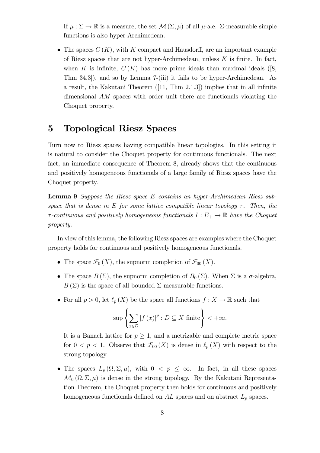If  $\mu : \Sigma \to \mathbb{R}$  is a measure, the set  $\mathcal{M}(\Sigma, \mu)$  of all  $\mu$ -a.e.  $\Sigma$ -measurable simple functions is also hyper-Archimedean.

• The spaces  $C(K)$ , with K compact and Hausdorff, are an important example of Riesz spaces that are not hyper-Archimedean, unless  $K$  is finite. In fact, when K is infinite,  $C(K)$  has more prime ideals than maximal ideals ([8, Thm 34.3]), and so by Lemma 7-(iii) it fails to be hyper-Archimedean. As a result, the Kakutani Theorem ([11, Thm 2.1.3]) implies that in all infinite dimensional AM spaces with order unit there are functionals violating the Choquet property.

### 5 Topological Riesz Spaces

Turn now to Riesz spaces having compatible linear topologies. In this setting it is natural to consider the Choquet property for continuous functionals. The next fact, an immediate consequence of Theorem 8, already shows that the continuous and positively homogeneous functionals of a large family of Riesz spaces have the Choquet property.

Lemma 9 Suppose the Riesz space E contains an hyper-Archimedean Riesz subspace that is dense in E for some lattice compatible linear topology  $\tau$ . Then, the  $\tau$ -continuous and positively homogeneous functionals  $I : E_+ \to \mathbb{R}$  have the Choquet property.

In view of this lemma, the following Riesz spaces are examples where the Choquet property holds for continuous and positively homogeneous functionals.

- The space  $\mathcal{F}_0(X)$ , the supnorm completion of  $\mathcal{F}_{00}(X)$ .
- The space  $B(\Sigma)$ , the supnorm completion of  $B_0(\Sigma)$ . When  $\Sigma$  is a  $\sigma$ -algebra,  $B(\Sigma)$  is the space of all bounded  $\Sigma$ -measurable functions.
- For all  $p > 0$ , let  $\ell_p(X)$  be the space all functions  $f : X \to \mathbb{R}$  such that

$$
\sup \left\{ \sum_{x \in D} |f(x)|^p : D \subseteq X \text{ finite} \right\} < +\infty.
$$

It is a Banach lattice for  $p \geq 1$ , and a metrizable and complete metric space for  $0 < p < 1$ . Observe that  $\mathcal{F}_{00}(X)$  is dense in  $\ell_p(X)$  with respect to the strong topology.

• The spaces  $L_p(\Omega,\Sigma,\mu)$ , with  $0 < p \leq \infty$ . In fact, in all these spaces  $\mathcal{M}_0(\Omega, \Sigma, \mu)$  is dense in the strong topology. By the Kakutani Representation Theorem, the Choquet property then holds for continuous and positively homogeneous functionals defined on  $AL$  spaces and on abstract  $L_p$  spaces.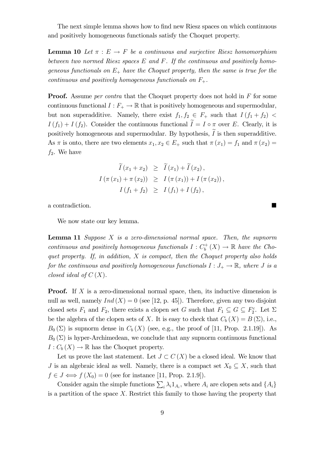The next simple lemma shows how to find new Riesz spaces on which continuous and positively homogeneous functionals satisfy the Choquet property.

**Lemma 10** Let  $\pi : E \to F$  be a continuous and surjective Riesz homomorphism between two normed Riesz spaces  $E$  and  $F$ . If the continuous and positively homogeneous functionals on  $E_+$  have the Choquet property, then the same is true for the continuous and positively homogeneous functionals on  $F_+$ .

**Proof.** Assume *per contra* that the Choquet property does not hold in F for some continuous functional  $I : F_+ \to \mathbb{R}$  that is positively homogeneous and supermodular, but non superadditive. Namely, there exist  $f_1, f_2 \in F_+$  such that  $I(f_1 + f_2)$  $I(f_1) + I(f_2)$ . Consider the continuous functional  $I = I \circ \pi$  over E. Clearly, it is positively homogeneous and supermodular. By hypothesis,  $I$  is then superadditive. As  $\pi$  is onto, there are two elements  $x_1, x_2 \in E_+$  such that  $\pi(x_1) = f_1$  and  $\pi(x_2) =$  $f_2$ . We have

$$
\widetilde{I}(x_1 + x_2) \geq \widetilde{I}(x_1) + \widetilde{I}(x_2), \nI(\pi(x_1) + \pi(x_2)) \geq I(\pi(x_1)) + I(\pi(x_2)), \nI(f_1 + f_2) \geq I(f_1) + I(f_2),
$$

a contradiction.

We now state our key lemma.

**Lemma 11** Suppose  $X$  is a zero-dimensional normal space. Then, the supnorm continuous and positively homogeneous functionals  $I : C_b^+(X) \to \mathbb{R}$  have the Choquet property. If, in addition, X is compact, then the Choquet property also holds for the continuous and positively homogeneous functionals  $I: J_+ \to \mathbb{R}$ , where J is a closed ideal of  $C(X)$ .

**Proof.** If X is a zero-dimensional normal space, then, its inductive dimension is null as well, namely  $Ind(X)=0$  (see [12, p. 45]). Therefore, given any two disjoint closed sets  $F_1$  and  $F_2$ , there exists a clopen set G such that  $F_1 \subseteq G \subseteq F_2^c$ . Let  $\Sigma$ be the algebra of the clopen sets of X. It is easy to check that  $C_b(X) = B(\Sigma)$ , i.e.,  $B_0(\Sigma)$  is supnorm dense in  $C_b(X)$  (see, e.g., the proof of [11, Prop. 2.1.19]). As  $B_0(\Sigma)$  is hyper-Archimedean, we conclude that any supnorm continuous functional  $I: C_b(X) \to \mathbb{R}$  has the Choquet property.

Let us prove the last statement. Let  $J \subset C(X)$  be a closed ideal. We know that J is an algebraic ideal as well. Namely, there is a compact set  $X_0 \subseteq X$ , such that  $f \in J \Longleftrightarrow f(X_0)=0$  (see for instance [11, Prop. 2.1.9]).

Consider again the simple functions  $\sum_i \lambda_i 1_{A_i}$ , where  $A_i$  are clopen sets and  $\{A_i\}$ is a partition of the space  $X$ . Restrict this family to those having the property that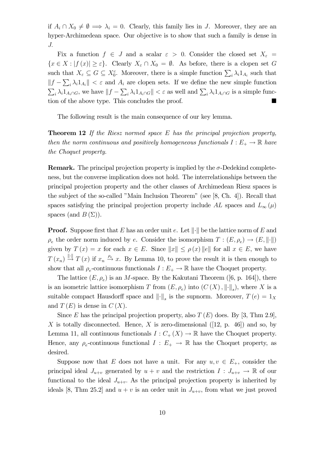if  $A_i \cap X_0 \neq \emptyset \implies \lambda_i = 0$ . Clearly, this family lies in J. Moreover, they are an hyper-Archimedean space. Our objective is to show that such a family is dense in J.

Fix a function  $f \in J$  and a scalar  $\varepsilon > 0$ . Consider the closed set  $X_{\varepsilon} =$  ${x \in X : |f(x)| \geq \varepsilon}.$  Clearly  $X_{\varepsilon} \cap X_0 = \emptyset$ . As before, there is a clopen set G such that  $X_{\varepsilon} \subseteq G \subseteq X_0^c$ . Moreover, there is a simple function  $\sum_i \lambda_i 1_{A_i}$  such that  $||f - \sum_i \lambda_i 1_{A_i}|| < \varepsilon$  and  $A_i$  are clopen sets. If we define the new simple function  $\sum_i \lambda_i 1_{A_i \cap G}$ , we have  $||f - \sum_i \lambda_i 1_{A_i \cap G}|| < \varepsilon$  as well and  $\sum_i \lambda_i 1_{A_i \cap G}$  is a simple function of the above type. This concludes the proof.

The following result is the main consequence of our key lemma.

**Theorem 12** If the Riesz normed space  $E$  has the principal projection property, then the norm continuous and positively homogeneous functionals  $I: E_+ \to \mathbb{R}$  have the Choquet property.

**Remark.** The principal projection property is implied by the  $\sigma$ -Dedekind completeness, but the converse implication does not hold. The interrelationships between the principal projection property and the other classes of Archimedean Riesz spaces is the subject of the so-called "Main Inclusion Theorem" (see [8, Ch. 4]). Recall that spaces satisfying the principal projection property include AL spaces and  $L_{\infty}(\mu)$ spaces (and  $B(\Sigma)$ ).

**Proof.** Suppose first that E has an order unit e. Let  $\|\cdot\|$  be the lattice norm of E and  $\rho_e$  the order norm induced by e. Consider the isomorphism  $T : (E, \rho_e) \to (E, \|\cdot\|)$ given by  $T(x) = x$  for each  $x \in E$ . Since  $||x|| \le \rho(x) ||e||$  for all  $x \in E$ , we have  $T(x_n) \stackrel{\|\cdot\|}{\to} T(x)$  if  $x_n \stackrel{\rho_e}{\to} x$ . By Lemma 10, to prove the result it is then enough to show that all  $\rho_e$ -continuous functionals  $I : E_+ \to \mathbb{R}$  have the Choquet property.

The lattice  $(E, \rho_e)$  is an M-space. By the Kakutani Theorem ([6, p. 164]), there is an isometric lattice isomorphism T from  $(E, \rho_e)$  into  $(C(X), \|\cdot\|_s)$ , where X is a suitable compact Hausdorff space and  $\left\| \cdot \right\|_s$  is the supnorm. Moreover,  $T(e)=1_X$ and  $T(E)$  is dense in  $C(X)$ .

Since E has the principal projection property, also  $T(E)$  does. By [3, Thm 2.9], X is totally disconnected. Hence, X is zero-dimensional ([12, p. 46]) and so, by Lemma 11, all continuous functionals  $I: C_+(X) \to \mathbb{R}$  have the Choquet property. Hence, any  $\rho_e$ -continuous functional  $I : E_+ \to \mathbb{R}$  has the Choquet property, as desired.

Suppose now that E does not have a unit. For any  $u, v \in E_{+}$ , consider the principal ideal  $J_{u+v}$  generated by  $u + v$  and the restriction  $I : J_{u+v} \to \mathbb{R}$  of our functional to the ideal  $J_{u+v}$ . As the principal projection property is inherited by ideals [8, Thm 25.2] and  $u + v$  is an order unit in  $J_{u+v}$ , from what we just proved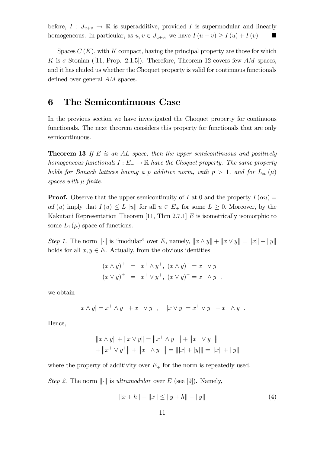before,  $I: J_{u+v} \to \mathbb{R}$  is superadditive, provided I is supermodular and linearly homogeneous. In particular, as  $u, v \in J_{u+v}$ , we have  $I(u + v) \ge I(u) + I(v)$ .

Spaces  $C(K)$ , with K compact, having the principal property are those for which K is  $\sigma$ -Stonian ([11, Prop. 2.1.5]). Therefore, Theorem 12 covers few AM spaces, and it has eluded us whether the Choquet property is valid for continuous functionals defined over general AM spaces.

#### 6 The Semicontinuous Case

In the previous section we have investigated the Choquet property for continuous functionals. The next theorem considers this property for functionals that are only semicontinuous.

**Theorem 13** If E is an AL space, then the upper semicontinuous and positively homogeneous functionals  $I : E_+ \to \mathbb{R}$  have the Choquet property. The same property holds for Banach lattices having a p additive norm, with  $p > 1$ , and for  $L_{\infty}(\mu)$ spaces with  $\mu$  finite.

**Proof.** Observe that the upper semicontinuity of I at 0 and the property  $I(\alpha u) =$  $\alpha I(u)$  imply that  $I(u) \leq L||u||$  for all  $u \in E_+$  for some  $L \geq 0$ . Moreover, by the Kakutani Representation Theorem [11, Thm 2.7.1]  $E$  is isometrically isomorphic to some  $L_1(\mu)$  space of functions.

Step 1. The norm  $\|\cdot\|$  is "modular" over E, namely,  $\|x \wedge y\| + \|x \vee y\| = \|x\| + \|y\|$ holds for all  $x, y \in E$ . Actually, from the obvious identities

$$
(x \wedge y)^{+}
$$
 =  $x^{+} \wedge y^{+}$ ,  $(x \wedge y)^{-}$  =  $x^{-} \vee y^{-}$   
\n $(x \vee y)^{+}$  =  $x^{+} \vee y^{+}$ ,  $(x \vee y)^{-}$  =  $x^{-} \wedge y^{-}$ ,

we obtain

$$
|x \wedge y| = x^+ \wedge y^+ + x^- \vee y^-, \quad |x \vee y| = x^+ \vee y^+ + x^- \wedge y^-.
$$

Hence,

$$
||x \wedge y|| + ||x \vee y|| = ||x^+ \wedge y^+|| + ||x^- \vee y^-||
$$
  
+ 
$$
||x^+ \vee y^+|| + ||x^- \wedge y^-|| = ||x| + |y|| = ||x|| + ||y||
$$

where the property of additivity over  $E_{+}$  for the norm is repeatedly used.

Step 2. The norm  $\lVert \cdot \rVert$  is ultramodular over E (see [9]). Namely,

$$
||x + h|| - ||x|| \le ||y + h|| - ||y|| \tag{4}
$$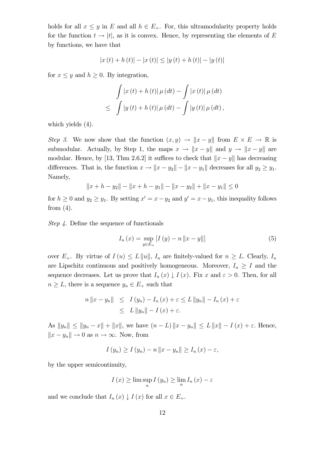holds for all  $x \leq y$  in E and all  $h \in E_+$ . For, this ultramodularity property holds for the function  $t \to |t|$ , as it is convex. Hence, by representing the elements of E by functions, we have that

$$
|x(t) + h(t)| - |x(t)| \le |y(t) + h(t)| - |y(t)|
$$

for  $x \leq y$  and  $h \geq 0$ . By integration,

$$
\int |x(t) + h(t)| \mu(dt) - \int |x(t)| \mu(dt) \n\leq \int |y(t) + h(t)| \mu(dt) - \int |y(t)| \mu(dt),
$$

which yields (4).

Step 3. We now show that the function  $(x, y) \to ||x - y||$  from  $E \times E \to \mathbb{R}$  is submodular. Actually, by Step 1, the maps  $x \to \|x - y\|$  and  $y \to \|x - y\|$  are modular. Hence, by [13, Thm 2.6.2] it suffices to check that  $||x - y||$  has decreasing differences. That is, the function  $x \to \|x - y_2\| - \|x - y_1\|$  decreases for all  $y_2 \ge y_1$ . Namely,

$$
||x + h - y_2|| - ||x + h - y_1|| - ||x - y_2|| + ||x - y_1|| \le 0
$$

for  $h \geq 0$  and  $y_2 \geq y_1$ . By setting  $x' = x - y_2$  and  $y' = x - y_1$ , this inequality follows from  $(4)$ .

Step 4. Define the sequence of functionals

$$
I_n(x) = \sup_{y \in E_+} [I(y) - n \|x - y\|]
$$
 (5)

over  $E_+$ . By virtue of  $I(u) \leq L||u||$ ,  $I_n$  are finitely-valued for  $n \geq L$ . Clearly,  $I_n$ are Lipschitz continuous and positively homogeneous. Moreover,  $I_n \geq I$  and the sequence decreases. Let us prove that  $I_n(x) \downarrow I(x)$ . Fix x and  $\varepsilon > 0$ . Then, for all  $n \geq L$ , there is a sequence  $y_n \in E_+$  such that

$$
n \|x - y_n\| \leq I(y_n) - I_n(x) + \varepsilon \leq L \|y_n\| - I_n(x) + \varepsilon
$$
  

$$
\leq L \|y_n\| - I(x) + \varepsilon.
$$

As  $||y_n|| \le ||y_n - x|| + ||x||$ , we have  $(n - L) ||x - y_n|| \le L ||x|| - I(x) + \varepsilon$ . Hence,  $||x - y_n|| \to 0$  as  $n \to \infty$ . Now, from

$$
I(y_n) \ge I(y_n) - n \|x - y_n\| \ge I_n(x) - \varepsilon,
$$

by the upper semicontinuity,

$$
I(x) \ge \limsup_{n} I(y_n) \ge \lim_{n} I_n(x) - \varepsilon
$$

and we conclude that  $I_n(x) \downarrow I(x)$  for all  $x \in E_+$ .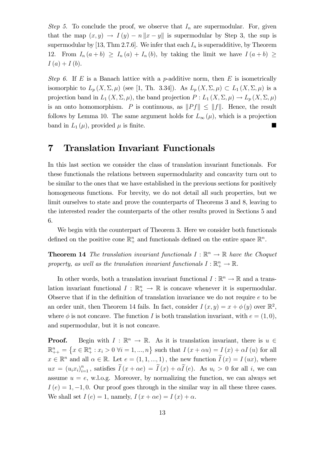Step 5. To conclude the proof, we observe that  $I_n$  are supermodular. For, given that the map  $(x, y) \rightarrow I(y) - n \|x - y\|$  is supermodular by Step 3, the sup is supermodular by [13, Thm 2.7.6]. We infer that each  $I_n$  is superadditive, by Theorem 12. From  $I_n(a + b) \geq I_n(a) + I_n(b)$ , by taking the limit we have  $I(a + b) \geq$  $I(a) + I(b).$ 

Step 6. If E is a Banach lattice with a p-additive norm, then E is isometrically isomorphic to  $L_p(X, \Sigma, \mu)$  (see [1, Th. 3.34]). As  $L_p(X, \Sigma, \mu) \subset L_p(X, \Sigma, \mu)$  is a projection band in  $L_1(X, \Sigma, \mu)$ , the band projection  $P: L_1(X, \Sigma, \mu) \to L_p(X, \Sigma, \mu)$ is an onto homomorphism. P is continuous, as  $||Pf|| \le ||f||$ . Hence, the result follows by Lemma 10. The same argument holds for  $L_{\infty}(\mu)$ , which is a projection band in  $L_1(\mu)$ , provided  $\mu$  is finite.

#### 7 Translation Invariant Functionals

In this last section we consider the class of translation invariant functionals. For these functionals the relations between supermodularity and concavity turn out to be similar to the ones that we have established in the previous sections for positively homogeneous functions. For brevity, we do not detail all such properties, but we limit ourselves to state and prove the counterparts of Theorems 3 and 8, leaving to the interested reader the counterparts of the other results proved in Sections 5 and 6.

We begin with the counterpart of Theorem 3. Here we consider both functionals defined on the positive cone  $\mathbb{R}^n_+$  and functionals defined on the entire space  $\mathbb{R}^n$ .

**Theorem 14** The translation invariant functionals  $I : \mathbb{R}^n \to \mathbb{R}$  have the Choquet property, as well as the translation invariant functionals  $I: \mathbb{R}^n_+ \to \mathbb{R}$ .

In other words, both a translation invariant functional  $I : \mathbb{R}^n \to \mathbb{R}$  and a translation invariant functional  $I : \mathbb{R}^n_+ \to \mathbb{R}$  is concave whenever it is supermodular. Observe that if in the definition of translation invariance we do not require e to be an order unit, then Theorem 14 fails. In fact, consider  $I(x, y) = x + \phi(y)$  over  $\mathbb{R}^2$ , where  $\phi$  is not concave. The function I is both translation invariant, with  $e = (1, 0)$ , and supermodular, but it is not concave.

**Proof.** Begin with  $I : \mathbb{R}^n \to \mathbb{R}$ . As it is translation invariant, there is  $u \in$  $\mathbb{R}_{++}^n = \{x \in \mathbb{R}_+^n : x_i > 0 \,\forall i = 1, ..., n\}$  such that  $I(x + \alpha u) = I(x) + \alpha I(u)$  for all  $x \in \mathbb{R}^n$  and all  $\alpha \in \mathbb{R}$ . Let  $e = (1, 1, ..., 1)$ , the new function  $\tilde{I}(x) = I(ux)$ , where  $ux = (u_i x_i)_{i=1}^n$ , satisfies  $\widetilde{I}(x + \alpha e) = \widetilde{I}(x) + \alpha \widetilde{I}(e)$ . As  $u_i > 0$  for all *i*, we can assume  $u = e$ , w.l.o.g. Moreover, by normalizing the function, we can always set  $I(e)=1, -1, 0$ . Our proof goes through in the similar way in all these three cases. We shall set  $I(e)=1$ , namely,  $I(x + \alpha e) = I(x) + \alpha$ .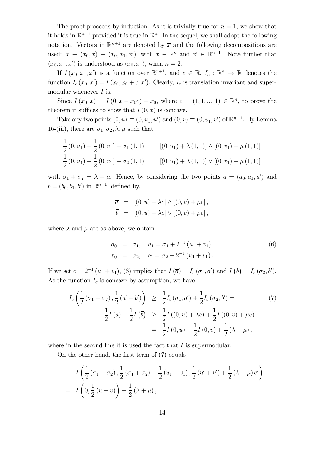The proof proceeds by induction. As it is trivially true for  $n = 1$ , we show that it holds in  $\mathbb{R}^{n+1}$  provided it is true in  $\mathbb{R}^n$ . In the sequel, we shall adopt the following notation. Vectors in  $\mathbb{R}^{n+1}$  are denoted by  $\overline{x}$  and the following decompositions are used:  $\overline{x} \equiv (x_0, x) \equiv (x_0, x_1, x')$ , with  $x \in \mathbb{R}^n$  and  $x' \in \mathbb{R}^{n-1}$ . Note further that  $(x_0, x_1, x')$  is understood as  $(x_0, x_1)$ , when  $n = 2$ .

If  $I(x_0, x_1, x')$  is a function over  $\mathbb{R}^{n+1}$ , and  $c \in \mathbb{R}$ ,  $I_c : \mathbb{R}^n \to \mathbb{R}$  denotes the function  $I_c(x_0, x') = I(x_0, x_0 + c, x')$ . Clearly,  $I_c$  is translation invariant and supermodular whenever  $I$  is.

Since  $I(x_0, x) = I(0, x - x_0e) + x_0$ , where  $e = (1, 1, ..., 1) \in \mathbb{R}^n$ , to prove the theorem it suffices to show that  $I(0, x)$  is concave.

Take any two points  $(0, u) \equiv (0, u_1, u')$  and  $(0, v) \equiv (0, v_1, v')$  of  $\mathbb{R}^{n+1}$ . By Lemma 16-(iii), there are  $\sigma_1, \sigma_2, \lambda, \mu$  such that

$$
\frac{1}{2}(0, u_1) + \frac{1}{2}(0, v_1) + \sigma_1(1, 1) = [(0, u_1) + \lambda(1, 1)] \wedge [(0, v_1) + \mu(1, 1)]
$$
  

$$
\frac{1}{2}(0, u_1) + \frac{1}{2}(0, v_1) + \sigma_2(1, 1) = [(0, u_1) + \lambda(1, 1)] \vee [(0, v_1) + \mu(1, 1)]
$$

with  $\sigma_1 + \sigma_2 = \lambda + \mu$ . Hence, by considering the two points  $\overline{a} = (a_0, a_1, a')$  and  $\overline{b} = (b_0, b_1, b')$  in  $\mathbb{R}^{n+1}$ , defined by,

$$
\overline{a} = [(0, u) + \lambda e] \wedge [(0, v) + \mu e],
$$
  

$$
\overline{b} = [(0, u) + \lambda e] \vee [(0, v) + \mu e],
$$

where  $\lambda$  and  $\mu$  are as above, we obtain

$$
a_0 = \sigma_1, \quad a_1 = \sigma_1 + 2^{-1} (u_1 + v_1)
$$
  
\n
$$
b_0 = \sigma_2, \quad b_1 = \sigma_2 + 2^{-1} (u_1 + v_1).
$$
\n(6)

If we set  $c = 2^{-1} (u_1 + v_1)$ , (6) implies that  $I(\bar{a}) = I_c(\sigma_1, a')$  and  $I(\bar{b}) = I_c(\sigma_2, b')$ . As the function  $I_c$  is concave by assumption, we have

$$
I_c\left(\frac{1}{2}(\sigma_1+\sigma_2),\frac{1}{2}(a'+b')\right) \geq \frac{1}{2}I_c(\sigma_1,a') + \frac{1}{2}I_c(\sigma_2,b') =
$$
\n
$$
\frac{1}{2}I(\overline{a}) + \frac{1}{2}I(\overline{b}) \geq \frac{1}{2}I((0,u) + \lambda e) + \frac{1}{2}I((0,v) + \mu e)
$$
\n
$$
= \frac{1}{2}I(0,u) + \frac{1}{2}I(0,v) + \frac{1}{2}(\lambda + \mu),
$$
\n(7)

where in the second line it is used the fact that  $I$  is supermodular.

On the other hand, the first term of (7) equals

$$
I\left(\frac{1}{2}(\sigma_1+\sigma_2),\frac{1}{2}(\sigma_1+\sigma_2)+\frac{1}{2}(u_1+v_1),\frac{1}{2}(u'+v')+\frac{1}{2}(\lambda+\mu)e'\right)
$$
  
=  $I\left(0,\frac{1}{2}(u+v)\right)+\frac{1}{2}(\lambda+\mu),$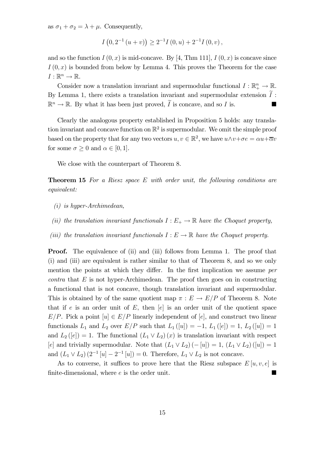as  $\sigma_1 + \sigma_2 = \lambda + \mu$ . Consequently,

$$
I(0,2^{-1}(u+v)) \ge 2^{-1}I(0,u) + 2^{-1}I(0,v),
$$

and so the function  $I(0, x)$  is mid-concave. By [4, Thm 111],  $I(0, x)$  is concave since  $I(0, x)$  is bounded from below by Lemma 4. This proves the Theorem for the case  $I: \mathbb{R}^n \to \mathbb{R}$ .

Consider now a translation invariant and supermodular functional  $I: \mathbb{R}^n_+ \to \mathbb{R}$ . By Lemma 1, there exists a translation invariant and supermodular extension  $I$ :  $\mathbb{R}^n \to \mathbb{R}$ . By what it has been just proved,  $\overline{I}$  is concave, and so  $I$  is.

Clearly the analogous property established in Proposition 5 holds: any translation invariant and concave function on  $\mathbb{R}^2$  is supermodular. We omit the simple proof based on the property that for any two vectors  $u, v \in \mathbb{R}^2$ , we have  $u \wedge v + \sigma e = \alpha u + \overline{\alpha}v$ for some  $\sigma \geq 0$  and  $\alpha \in [0, 1]$ .

We close with the counterpart of Theorem 8.

**Theorem 15** For a Riesz space  $E$  with order unit, the following conditions are equivalent:

- (i) is hyper-Archimedean,
- (ii) the translation invariant functionals  $I : E_+ \to \mathbb{R}$  have the Choquet property,
- (iii) the translation invariant functionals  $I : E \to \mathbb{R}$  have the Choquet property.

**Proof.** The equivalence of (ii) and (iii) follows from Lemma 1. The proof that (i) and (iii) are equivalent is rather similar to that of Theorem 8, and so we only mention the points at which they differ. In the first implication we assume per  $contra$  that  $E$  is not hyper-Archimedean. The proof then goes on in constructing a functional that is not concave, though translation invariant and supermodular. This is obtained by of the same quotient map  $\pi : E \to E/P$  of Theorem 8. Note that if e is an order unit of  $E$ , then  $[e]$  is an order unit of the quotient space  $E/P$ . Pick a point  $[u] \in E/P$  linearly independent of  $[e]$ , and construct two linear functionals  $L_1$  and  $L_2$  over  $E/P$  such that  $L_1([u]) = -1$ ,  $L_1([e]) = 1$ ,  $L_2([u]) = 1$ and  $L_2([e]) = 1$ . The functional  $(L_1 \vee L_2)(x)$  is translation invariant with respect [e] and trivially supermodular. Note that  $(L_1 \vee L_2)$   $(-[u]) = 1$ ,  $(L_1 \vee L_2)$   $([u]) = 1$ and  $(L_1 \vee L_2)$   $(2^{-1} [u] - 2^{-1} [u]) = 0$ . Therefore,  $L_1 \vee L_2$  is not concave.

As to converse, it suffices to prove here that the Riesz subspace  $E[u, v, e]$  is finite-dimensional, where  $e$  is the order unit.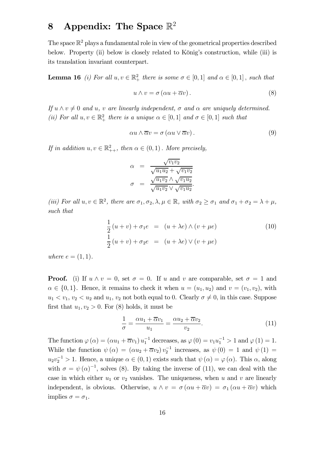## 8 Appendix: The Space  $\mathbb{R}^2$

The space  $\mathbb{R}^2$  plays a fundamental role in view of the geometrical properties described below. Property (ii) below is closely related to König's construction, while (iii) is its translation invariant counterpart.

**Lemma 16** (i) For all  $u, v \in \mathbb{R}^2_+$  there is some  $\sigma \in [0, 1]$  and  $\alpha \in [0, 1]$ , such that

$$
u \wedge v = \sigma \left( \alpha u + \overline{\alpha} v \right). \tag{8}
$$

If  $u \wedge v \neq 0$  and u, v are linearly independent,  $\sigma$  and  $\alpha$  are uniquely determined. (ii) For all  $u, v \in \mathbb{R}^2_+$  there is a unique  $\alpha \in [0, 1]$  and  $\sigma \in [0, 1]$  such that

$$
\alpha u \wedge \overline{\alpha} v = \sigma \left( \alpha u \vee \overline{\alpha} v \right). \tag{9}
$$

If in addition  $u, v \in \mathbb{R}^2_{++}$ , then  $\alpha \in (0, 1)$ . More precisely,

$$
\alpha = \frac{\sqrt{v_1 v_2}}{\sqrt{u_1 u_2} + \sqrt{v_1 v_2}}
$$

$$
\sigma = \frac{\sqrt{u_1 v_2} \wedge \sqrt{v_1 u_2}}{\sqrt{u_1 v_2} \vee \sqrt{v_1 u_2}}.
$$

(iii) For all  $u, v \in \mathbb{R}^2$ , there are  $\sigma_1, \sigma_2, \lambda, \mu \in \mathbb{R}$ , with  $\sigma_2 \geq \sigma_1$  and  $\sigma_1 + \sigma_2 = \lambda + \mu$ , such that

$$
\frac{1}{2}(u+v) + \sigma_1 e = (u + \lambda e) \wedge (v + \mu e)
$$
\n
$$
\frac{1}{2}(u+v) + \sigma_2 e = (u + \lambda e) \vee (v + \mu e)
$$
\n(10)

where  $e = (1, 1)$ .

**Proof.** (i) If  $u \wedge v = 0$ , set  $\sigma = 0$ . If u and v are comparable, set  $\sigma = 1$  and  $\alpha \in \{0,1\}$ . Hence, it remains to check it when  $u = (u_1, u_2)$  and  $v = (v_1, v_2)$ , with  $u_1 < v_1, v_2 < u_2$  and  $u_1, v_2$  not both equal to 0. Clearly  $\sigma \neq 0$ , in this case. Suppose first that  $u_1, v_2 > 0$ . For (8) holds, it must be

$$
\frac{1}{\sigma} = \frac{\alpha u_1 + \overline{\alpha} v_1}{u_1} = \frac{\alpha u_2 + \overline{\alpha} v_2}{v_2}.
$$
\n(11)

The function  $\varphi(\alpha) = (\alpha u_1 + \overline{\alpha} v_1) u_1^{-1}$  decreases, as  $\varphi(0) = v_1 u_1^{-1} > 1$  and  $\varphi(1) = 1$ . While the function  $\psi(\alpha) = (\alpha u_2 + \overline{\alpha}v_2) v_2^{-1}$  increases, as  $\psi(0) = 1$  and  $\psi(1) =$  $u_2v_2^{-1} > 1$ . Hence, a unique  $\alpha \in (0,1)$  exists such that  $\psi(\alpha) = \varphi(\alpha)$ . This  $\alpha$ , along with  $\sigma = \psi(\alpha)^{-1}$ , solves (8). By taking the inverse of (11), we can deal with the case in which either  $u_1$  or  $v_2$  vanishes. The uniqueness, when u and v are linearly independent, is obvious. Otherwise,  $u \wedge v = \sigma(\alpha u + \overline{\alpha}v) = \sigma_1(\alpha u + \overline{\alpha}v)$  which implies  $\sigma = \sigma_1$ .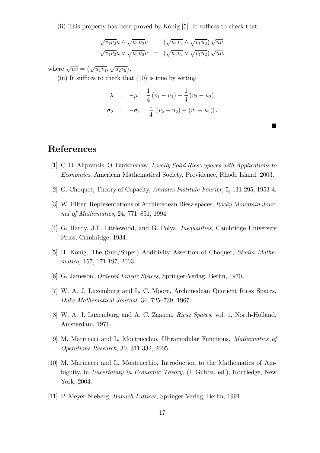(ii) This property has been proved by König [5]. It suffices to check that

$$
\sqrt{v_1v_2}u \wedge \sqrt{u_1u_2}v = (\sqrt{u_1v_2} \wedge \sqrt{v_1u_2}) \sqrt{uv}
$$
  

$$
\sqrt{v_1v_2}u \vee \sqrt{u_1u_2}v = (\sqrt{u_1v_2} \vee \sqrt{v_1u_2}) \sqrt{uv},
$$

where  $\sqrt{uv} = (\sqrt{u_1v_1}, \sqrt{u_2v_2}).$ 

(iii) It suffices to check that (10) is true by setting

$$
\lambda = -\mu = \frac{1}{4}(v_1 - u_1) + \frac{1}{4}(v_2 - u_2)
$$
  
\n
$$
\sigma_2 = -\sigma_1 = \frac{1}{4} |(v_2 - u_2) - (v_1 - u_1)|.
$$

 $\blacksquare$ 

#### References

- [1] C. D. Aliprantis, O. Burkinshaw, Locally Solid Riesz Spaces with Applications to Economics, American Mathematical Society, Providence, Rhode Island, 2003.
- [2] G. Choquet, Theory of Capacity, Annales Institute Fourier, 5, 131-295, 1953-4.
- [3] W. Filter, Representations of Archimedean Riesz spaces, Rocky Mountain Journal of Mathematics, 24, 771—851, 1994.
- [4] G. Hardy, J.E. Littlewood, and G. Polya, Inequalities, Cambridge University Press, Cambridge, 1934.
- [5] H. König, The (Sub/Super) Additivity Assertion of Choquet, Studia Mathematica, 157, 171-197, 2003.
- [6] G. Jameson, Ordered Linear Spaces, Springer-Verlag, Berlin, 1970.
- [7] W. A. J. Luxemburg and L. C. Moore, Archimedean Quotient Riesz Spaces, Duke Mathematical Journal, 34, 725—739, 1967.
- [8] W. A. J. Luxemburg and A. C. Zaanen, Riesz Spaces, vol. 1, North-Holland, Amsterdam, 1971.
- [9] M. Marinacci and L. Montrucchio, Ultramodular Functions, Mathematics of Operations Research, 30, 311-332, 2005.
- [10] M. Marinacci and L. Montrucchio, Introduction to the Mathematics of Ambiguity, in Uncertainty in Economic Theory, (I. Gilboa, ed.), Routledge, New York, 2004.
- [11] P. Meyer-Nieberg, Banach Lattices, Springer-Verlag, Berlin, 1991.